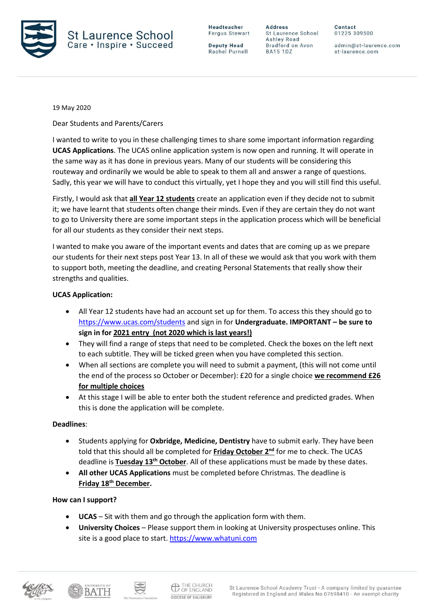

**Deputy Head** Rachel Purnell

**Address** St Laurence School Ashley Road Bradford on Avon **BA15 1DZ** 

Contact 01225 309500

admin@st-laurence.com st-laurence.com

19 May 2020

Dear Students and Parents/Carers

I wanted to write to you in these challenging times to share some important information regarding **UCAS Applications**. The UCAS online application system is now open and running. It will operate in the same way as it has done in previous years. Many of our students will be considering this routeway and ordinarily we would be able to speak to them all and answer a range of questions. Sadly, this year we will have to conduct this virtually, yet I hope they and you will still find this useful.

Firstly, I would ask that **all Year 12 students** create an application even if they decide not to submit it; we have learnt that students often change their minds. Even if they are certain they do not want to go to University there are some important steps in the application process which will be beneficial for all our students as they consider their next steps.

I wanted to make you aware of the important events and dates that are coming up as we prepare our students for their next steps post Year 13. In all of these we would ask that you work with them to support both, meeting the deadline, and creating Personal Statements that really show their strengths and qualities.

## **UCAS Application:**

- All Year 12 students have had an account set up for them. To access this they should go to <https://www.ucas.com/students> and sign in for **Undergraduate. IMPORTANT – be sure to sign in for 2021 entry (not 2020 which is last years!)**
- They will find a range of steps that need to be completed. Check the boxes on the left next to each subtitle. They will be ticked green when you have completed this section.
- When all sections are complete you will need to submit a payment, (this will not come until the end of the process so October or December): £20 for a single choice **we recommend £26 for multiple choices**
- At this stage I will be able to enter both the student reference and predicted grades. When this is done the application will be complete.

## **Deadlines**:

- Students applying for **Oxbridge, Medicine, Dentistry** have to submit early. They have been told that this should all be completed for **Friday October 2<sup>nd</sup>** for me to check. The UCAS deadline is **Tuesday 13<sup>th</sup> October**. All of these applications must be made by these dates.
- **All other UCAS Applications** must be completed before Christmas. The deadline is **Friday 18th December.**

## **How can I support?**

- **UCAS** Sit with them and go through the application form with them.
- **University Choices** Please support them in looking at University prospectuses online. This site is a good place to start. [https://www.whatuni.com](https://www.whatuni.com/)